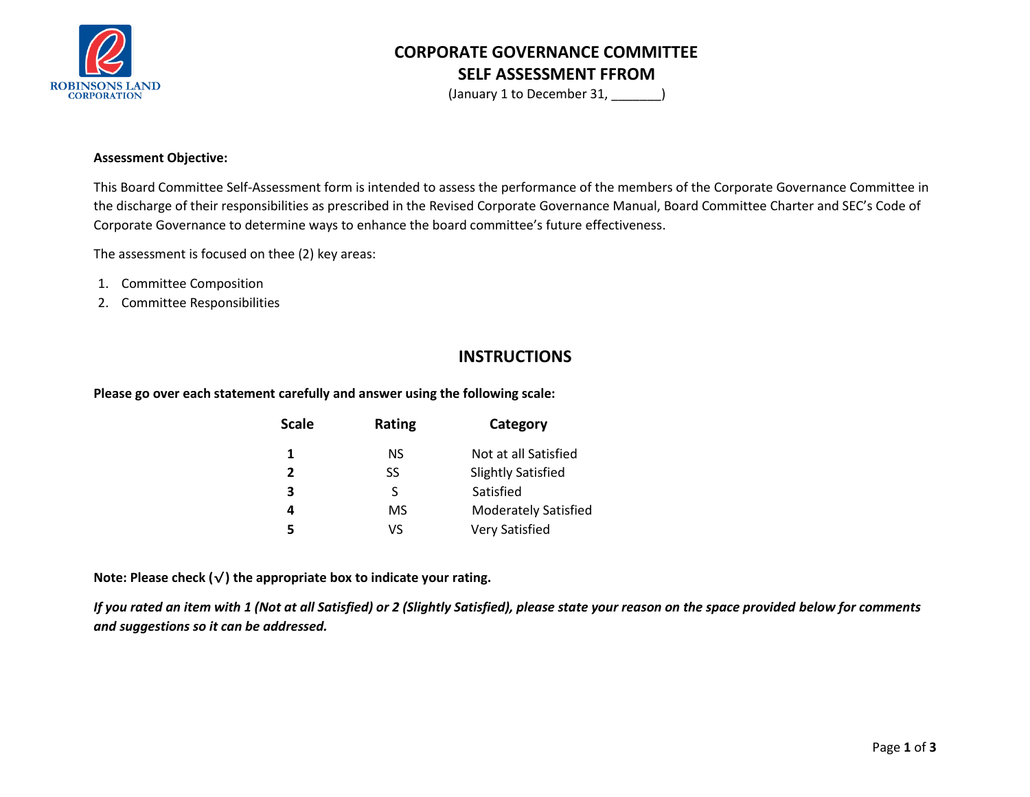

# **CORPORATE GOVERNANCE COMMITTEE SELF ASSESSMENT FFROM**

(January 1 to December 31, \_\_\_\_\_\_\_)

#### **Assessment Objective:**

This Board Committee Self-Assessment form is intended to assess the performance of the members of the Corporate Governance Committee in the discharge of their responsibilities as prescribed in the Revised Corporate Governance Manual, Board Committee Charter and SEC's Code of Corporate Governance to determine ways to enhance the board committee's future effectiveness.

The assessment is focused on thee (2) key areas:

- 1. Committee Composition
- 2. Committee Responsibilities

### **INSTRUCTIONS**

**Please go over each statement carefully and answer using the following scale:**

| <b>Scale</b> | Rating | Category                    |  |  |
|--------------|--------|-----------------------------|--|--|
| 1            | ΝS     | Not at all Satisfied        |  |  |
| 2            | SS     | <b>Slightly Satisfied</b>   |  |  |
| 3            | S      | Satisfied                   |  |  |
| 4            | MS     | <b>Moderately Satisfied</b> |  |  |
|              | VS     | <b>Very Satisfied</b>       |  |  |

**Note: Please check (**√**) the appropriate box to indicate your rating.**

*If you rated an item with 1 (Not at all Satisfied) or 2 (Slightly Satisfied), please state your reason on the space provided below for comments and suggestions so it can be addressed.*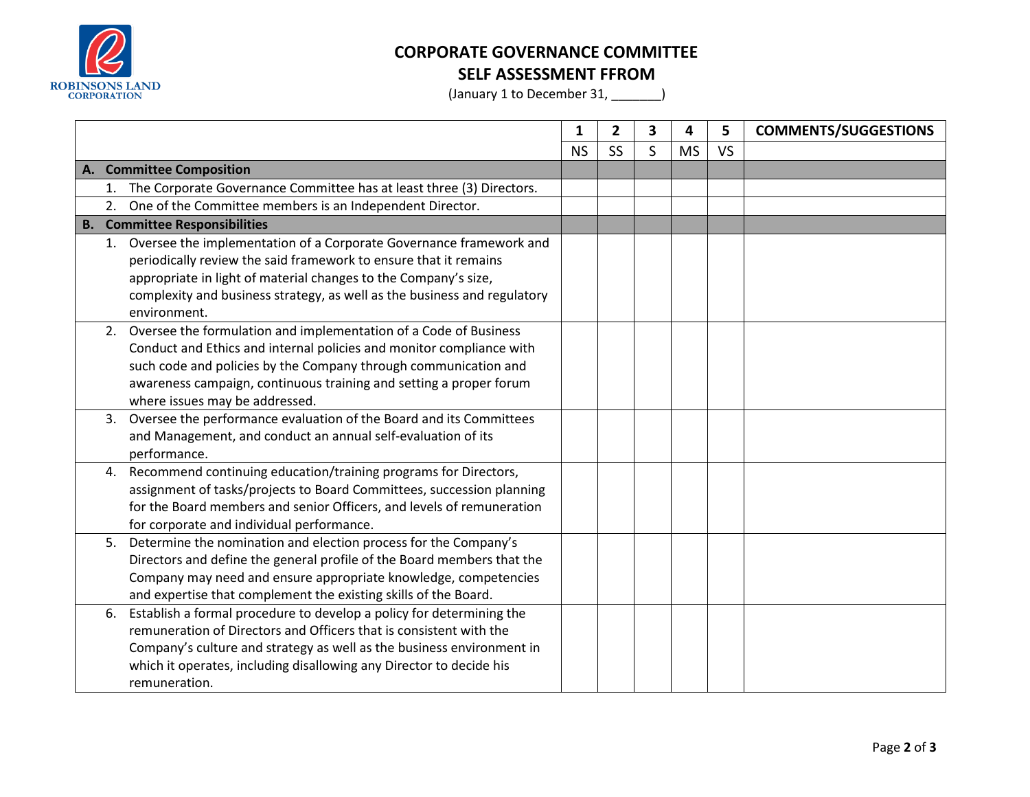

# **CORPORATE GOVERNANCE COMMITTEE**

**SELF ASSESSMENT FFROM** 

(January 1 to December 31, \_\_\_\_\_\_\_)

|    |                                                                          | 1         | $\overline{2}$ | 3 | 4         | 5         | <b>COMMENTS/SUGGESTIONS</b> |
|----|--------------------------------------------------------------------------|-----------|----------------|---|-----------|-----------|-----------------------------|
|    |                                                                          | <b>NS</b> | SS             | S | <b>MS</b> | <b>VS</b> |                             |
|    | A. Committee Composition                                                 |           |                |   |           |           |                             |
|    | 1. The Corporate Governance Committee has at least three (3) Directors.  |           |                |   |           |           |                             |
| 2. | One of the Committee members is an Independent Director.                 |           |                |   |           |           |                             |
|    | <b>B.</b> Committee Responsibilities                                     |           |                |   |           |           |                             |
|    | 1. Oversee the implementation of a Corporate Governance framework and    |           |                |   |           |           |                             |
|    | periodically review the said framework to ensure that it remains         |           |                |   |           |           |                             |
|    | appropriate in light of material changes to the Company's size,          |           |                |   |           |           |                             |
|    | complexity and business strategy, as well as the business and regulatory |           |                |   |           |           |                             |
|    | environment.                                                             |           |                |   |           |           |                             |
| 2. | Oversee the formulation and implementation of a Code of Business         |           |                |   |           |           |                             |
|    | Conduct and Ethics and internal policies and monitor compliance with     |           |                |   |           |           |                             |
|    | such code and policies by the Company through communication and          |           |                |   |           |           |                             |
|    | awareness campaign, continuous training and setting a proper forum       |           |                |   |           |           |                             |
|    | where issues may be addressed.                                           |           |                |   |           |           |                             |
| 3. | Oversee the performance evaluation of the Board and its Committees       |           |                |   |           |           |                             |
|    | and Management, and conduct an annual self-evaluation of its             |           |                |   |           |           |                             |
|    | performance.                                                             |           |                |   |           |           |                             |
| 4. | Recommend continuing education/training programs for Directors,          |           |                |   |           |           |                             |
|    | assignment of tasks/projects to Board Committees, succession planning    |           |                |   |           |           |                             |
|    | for the Board members and senior Officers, and levels of remuneration    |           |                |   |           |           |                             |
|    | for corporate and individual performance.                                |           |                |   |           |           |                             |
| 5. | Determine the nomination and election process for the Company's          |           |                |   |           |           |                             |
|    | Directors and define the general profile of the Board members that the   |           |                |   |           |           |                             |
|    | Company may need and ensure appropriate knowledge, competencies          |           |                |   |           |           |                             |
|    | and expertise that complement the existing skills of the Board.          |           |                |   |           |           |                             |
| 6. | Establish a formal procedure to develop a policy for determining the     |           |                |   |           |           |                             |
|    | remuneration of Directors and Officers that is consistent with the       |           |                |   |           |           |                             |
|    | Company's culture and strategy as well as the business environment in    |           |                |   |           |           |                             |
|    | which it operates, including disallowing any Director to decide his      |           |                |   |           |           |                             |
|    | remuneration.                                                            |           |                |   |           |           |                             |